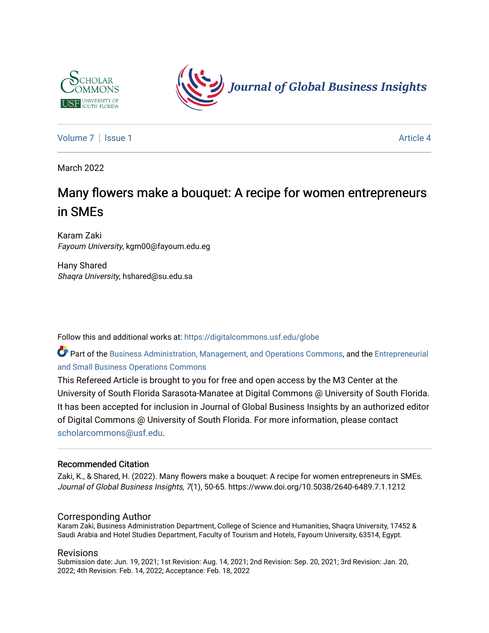



[Volume 7](https://digitalcommons.usf.edu/globe/vol7) | [Issue 1](https://digitalcommons.usf.edu/globe/vol7/iss1) Article 4

March 2022

# Many flowers make a bouquet: A recipe for women entrepreneurs in SMEs

Karam Zaki Fayoum University, kgm00@fayoum.edu.eg

Hany Shared Shaqra University, hshared@su.edu.sa

Follow this and additional works at: [https://digitalcommons.usf.edu/globe](https://digitalcommons.usf.edu/globe?utm_source=digitalcommons.usf.edu%2Fglobe%2Fvol7%2Fiss1%2F4&utm_medium=PDF&utm_campaign=PDFCoverPages) 

Part of the [Business Administration, Management, and Operations Commons](http://network.bepress.com/hgg/discipline/623?utm_source=digitalcommons.usf.edu%2Fglobe%2Fvol7%2Fiss1%2F4&utm_medium=PDF&utm_campaign=PDFCoverPages), and the [Entrepreneurial](http://network.bepress.com/hgg/discipline/630?utm_source=digitalcommons.usf.edu%2Fglobe%2Fvol7%2Fiss1%2F4&utm_medium=PDF&utm_campaign=PDFCoverPages)  [and Small Business Operations Commons](http://network.bepress.com/hgg/discipline/630?utm_source=digitalcommons.usf.edu%2Fglobe%2Fvol7%2Fiss1%2F4&utm_medium=PDF&utm_campaign=PDFCoverPages) 

This Refereed Article is brought to you for free and open access by the M3 Center at the University of South Florida Sarasota-Manatee at Digital Commons @ University of South Florida. It has been accepted for inclusion in Journal of Global Business Insights by an authorized editor of Digital Commons @ University of South Florida. For more information, please contact [scholarcommons@usf.edu.](mailto:scholarcommons@usf.edu)

#### Recommended Citation

Zaki, K., & Shared, H. (2022). Many flowers make a bouquet: A recipe for women entrepreneurs in SMEs. Journal of Global Business Insights, 7(1), 50-65. https://www.doi.org/10.5038/2640-6489.7.1.1212

#### Corresponding Author

Karam Zaki, Business Administration Department, College of Science and Humanities, Shaqra University, 17452 & Saudi Arabia and Hotel Studies Department, Faculty of Tourism and Hotels, Fayoum University, 63514, Egypt.

#### Revisions

Submission date: Jun. 19, 2021; 1st Revision: Aug. 14, 2021; 2nd Revision: Sep. 20, 2021; 3rd Revision: Jan. 20, 2022; 4th Revision: Feb. 14, 2022; Acceptance: Feb. 18, 2022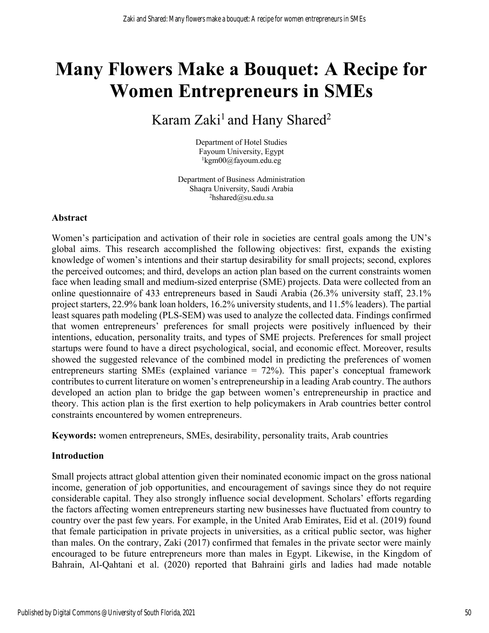# **Many Flowers Make a Bouquet: A Recipe for Women Entrepreneurs in SMEs**

# Karam Zaki<sup>1</sup> and Hany Shared<sup>2</sup>

Department of Hotel Studies Fayoum University, Egypt 1 kgm00@fayoum.edu.eg

Department of Business Administration Shaqra University, Saudi Arabia  $^{2}$ hshared@su.edu.sa

# **Abstract**

Women's participation and activation of their role in societies are central goals among the UN's global aims. This research accomplished the following objectives: first, expands the existing knowledge of women's intentions and their startup desirability for small projects; second, explores the perceived outcomes; and third, develops an action plan based on the current constraints women face when leading small and medium-sized enterprise (SME) projects. Data were collected from an online questionnaire of 433 entrepreneurs based in Saudi Arabia (26.3% university staff, 23.1% project starters, 22.9% bank loan holders, 16.2% university students, and 11.5% leaders). The partial least squares path modeling (PLS-SEM) was used to analyze the collected data. Findings confirmed that women entrepreneurs' preferences for small projects were positively influenced by their intentions, education, personality traits, and types of SME projects. Preferences for small project startups were found to have a direct psychological, social, and economic effect. Moreover, results showed the suggested relevance of the combined model in predicting the preferences of women entrepreneurs starting SMEs (explained variance = 72%). This paper's conceptual framework contributes to current literature on women's entrepreneurship in a leading Arab country. The authors developed an action plan to bridge the gap between women's entrepreneurship in practice and theory. This action plan is the first exertion to help policymakers in Arab countries better control constraints encountered by women entrepreneurs.

**Keywords:** women entrepreneurs, SMEs, desirability, personality traits, Arab countries

# **Introduction**

Small projects attract global attention given their nominated economic impact on the gross national income, generation of job opportunities, and encouragement of savings since they do not require considerable capital. They also strongly influence social development. Scholars' efforts regarding the factors affecting women entrepreneurs starting new businesses have fluctuated from country to country over the past few years. For example, in the United Arab Emirates, Eid et al. (2019) found that female participation in private projects in universities, as a critical public sector, was higher than males. On the contrary, Zaki (2017) confirmed that females in the private sector were mainly encouraged to be future entrepreneurs more than males in Egypt. Likewise, in the Kingdom of Bahrain, Al-Qahtani et al. (2020) reported that Bahraini girls and ladies had made notable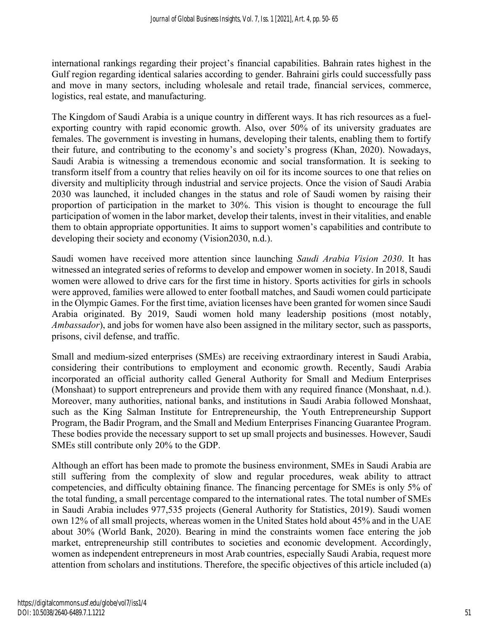international rankings regarding their project's financial capabilities. Bahrain rates highest in the Gulf region regarding identical salaries according to gender. Bahraini girls could successfully pass and move in many sectors, including wholesale and retail trade, financial services, commerce, logistics, real estate, and manufacturing.

The Kingdom of Saudi Arabia is a unique country in different ways. It has rich resources as a fuelexporting country with rapid economic growth. Also, over 50% of its university graduates are females. The government is investing in humans, developing their talents, enabling them to fortify their future, and contributing to the economy's and society's progress (Khan, 2020). Nowadays, Saudi Arabia is witnessing a tremendous economic and social transformation. It is seeking to transform itself from a country that relies heavily on oil for its income sources to one that relies on diversity and multiplicity through industrial and service projects. Once the vision of Saudi Arabia 2030 was launched, it included changes in the status and role of Saudi women by raising their proportion of participation in the market to 30%. This vision is thought to encourage the full participation of women in the labor market, develop their talents, invest in their vitalities, and enable them to obtain appropriate opportunities. It aims to support women's capabilities and contribute to developing their society and economy (Vision2030, n.d.).

Saudi women have received more attention since launching *Saudi Arabia Vision 2030*. It has witnessed an integrated series of reforms to develop and empower women in society. In 2018, Saudi women were allowed to drive cars for the first time in history. Sports activities for girls in schools were approved, families were allowed to enter football matches, and Saudi women could participate in the Olympic Games. For the first time, aviation licenses have been granted for women since Saudi Arabia originated. By 2019, Saudi women hold many leadership positions (most notably, *Ambassador*), and jobs for women have also been assigned in the military sector, such as passports, prisons, civil defense, and traffic.

Small and medium-sized enterprises (SMEs) are receiving extraordinary interest in Saudi Arabia, considering their contributions to employment and economic growth. Recently, Saudi Arabia incorporated an official authority called General Authority for Small and Medium Enterprises (Monshaat) to support entrepreneurs and provide them with any required finance (Monshaat, n.d.). Moreover, many authorities, national banks, and institutions in Saudi Arabia followed Monshaat, such as the King Salman Institute for Entrepreneurship, the Youth Entrepreneurship Support Program, the Badir Program, and the Small and Medium Enterprises Financing Guarantee Program. These bodies provide the necessary support to set up small projects and businesses. However, Saudi SMEs still contribute only 20% to the GDP.

Although an effort has been made to promote the business environment, SMEs in Saudi Arabia are still suffering from the complexity of slow and regular procedures, weak ability to attract competencies, and difficulty obtaining finance. The financing percentage for SMEs is only 5% of the total funding, a small percentage compared to the international rates. The total number of SMEs in Saudi Arabia includes 977,535 projects (General Authority for Statistics, 2019). Saudi women own 12% of all small projects, whereas women in the United States hold about 45% and in the UAE about 30% (World Bank, 2020). Bearing in mind the constraints women face entering the job market, entrepreneurship still contributes to societies and economic development. Accordingly, women as independent entrepreneurs in most Arab countries, especially Saudi Arabia, request more attention from scholars and institutions. Therefore, the specific objectives of this article included (a)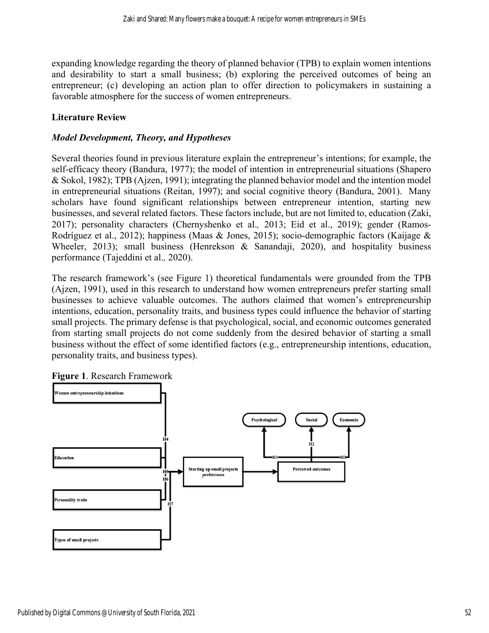expanding knowledge regarding the theory of planned behavior (TPB) to explain women intentions and desirability to start a small business; (b) exploring the perceived outcomes of being an entrepreneur; (c) developing an action plan to offer direction to policymakers in sustaining a favorable atmosphere for the success of women entrepreneurs.

# **Literature Review**

# *Model Development, Theory, and Hypotheses*

Several theories found in previous literature explain the entrepreneur's intentions; for example, the self-efficacy theory (Bandura, 1977); the model of intention in entrepreneurial situations (Shapero & Sokol, 1982); TPB (Ajzen, 1991); integrating the planned behavior model and the intention model in entrepreneurial situations (Reitan, 1997); and social cognitive theory (Bandura, 2001). Many scholars have found significant relationships between entrepreneur intention, starting new businesses, and several related factors. These factors include, but are not limited to, education (Zaki, 2017); personality characters (Chernyshenko et al.*,* 2013; Eid et al., 2019); gender (Ramos-Rodríguez et al., 2012); happiness (Maas & Jones, 2015); socio-demographic factors (Kaijage & Wheeler, 2013); small business (Henrekson & Sanandaji, 2020), and hospitality business performance (Tajeddini et al.*,* 2020).

The research framework's (see Figure 1) theoretical fundamentals were grounded from the TPB (Ajzen, 1991), used in this research to understand how women entrepreneurs prefer starting small businesses to achieve valuable outcomes. The authors claimed that women's entrepreneurship intentions, education, personality traits, and business types could influence the behavior of starting small projects. The primary defense is that psychological, social, and economic outcomes generated from starting small projects do not come suddenly from the desired behavior of starting a small business without the effect of some identified factors (e.g., entrepreneurship intentions, education, personality traits, and business types).



**Figure 1**. Research Framework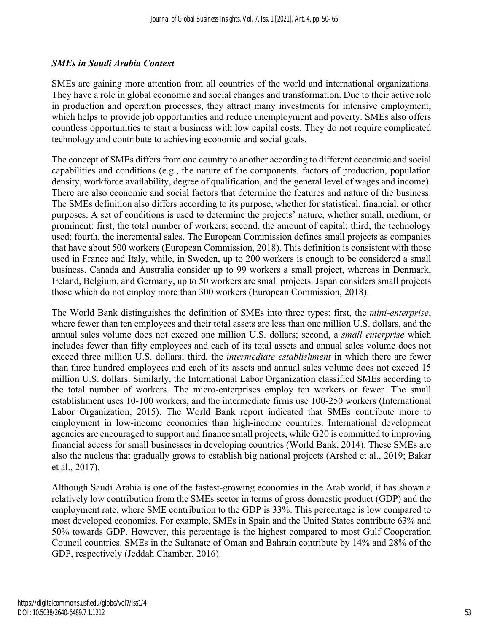# *SMEs in Saudi Arabia Context*

SMEs are gaining more attention from all countries of the world and international organizations. They have a role in global economic and social changes and transformation. Due to their active role in production and operation processes, they attract many investments for intensive employment, which helps to provide job opportunities and reduce unemployment and poverty. SMEs also offers countless opportunities to start a business with low capital costs. They do not require complicated technology and contribute to achieving economic and social goals.

The concept of SMEs differs from one country to another according to different economic and social capabilities and conditions (e.g., the nature of the components, factors of production, population density, workforce availability, degree of qualification, and the general level of wages and income). There are also economic and social factors that determine the features and nature of the business. The SMEs definition also differs according to its purpose, whether for statistical, financial, or other purposes. A set of conditions is used to determine the projects' nature, whether small, medium, or prominent: first, the total number of workers; second, the amount of capital; third, the technology used; fourth, the incremental sales. The European Commission defines small projects as companies that have about 500 workers (European Commission, 2018). This definition is consistent with those used in France and Italy, while, in Sweden, up to 200 workers is enough to be considered a small business. Canada and Australia consider up to 99 workers a small project, whereas in Denmark, Ireland, Belgium, and Germany, up to 50 workers are small projects. Japan considers small projects those which do not employ more than 300 workers (European Commission, 2018).

The World Bank distinguishes the definition of SMEs into three types: first, the *mini-enterprise*, where fewer than ten employees and their total assets are less than one million U.S. dollars, and the annual sales volume does not exceed one million U.S. dollars; second, a *small enterprise* which includes fewer than fifty employees and each of its total assets and annual sales volume does not exceed three million U.S. dollars; third, the *intermediate establishment* in which there are fewer than three hundred employees and each of its assets and annual sales volume does not exceed 15 million U.S. dollars. Similarly, the International Labor Organization classified SMEs according to the total number of workers. The micro-enterprises employ ten workers or fewer. The small establishment uses 10-100 workers, and the intermediate firms use 100-250 workers (International Labor Organization, 2015). The World Bank report indicated that SMEs contribute more to employment in low-income economies than high-income countries. International development agencies are encouraged to support and finance small projects, while G20 is committed to improving financial access for small businesses in developing countries (World Bank, 2014). These SMEs are also the nucleus that gradually grows to establish big national projects (Arshed et al., 2019; Bakar et al., 2017).

Although Saudi Arabia is one of the fastest-growing economies in the Arab world, it has shown a relatively low contribution from the SMEs sector in terms of gross domestic product (GDP) and the employment rate, where SME contribution to the GDP is 33%. This percentage is low compared to most developed economies. For example, SMEs in Spain and the United States contribute 63% and 50% towards GDP. However, this percentage is the highest compared to most Gulf Cooperation Council countries. SMEs in the Sultanate of Oman and Bahrain contribute by 14% and 28% of the GDP, respectively (Jeddah Chamber, 2016).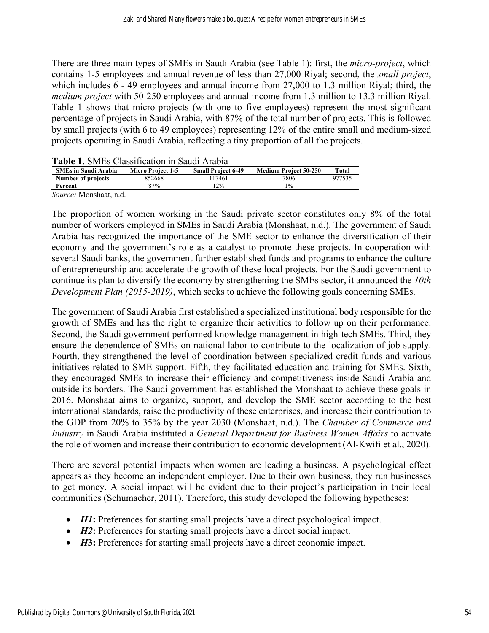There are three main types of SMEs in Saudi Arabia (see Table 1): first, the *micro-project*, which contains 1-5 employees and annual revenue of less than 27,000 Riyal; second, the *small project*, which includes 6 - 49 employees and annual income from 27,000 to 1.3 million Riyal; third, the *medium project* with 50-250 employees and annual income from 1.3 million to 13.3 million Riyal. Table 1 shows that micro-projects (with one to five employees) represent the most significant percentage of projects in Saudi Arabia, with 87% of the total number of projects. This is followed by small projects (with 6 to 49 employees) representing 12% of the entire small and medium-sized projects operating in Saudi Arabia, reflecting a tiny proportion of all the projects.

| <b>Table L.</b> SMEs Classification in Saudi Arabia |                          |                           |                              |        |  |  |
|-----------------------------------------------------|--------------------------|---------------------------|------------------------------|--------|--|--|
| <b>SMEs in Saudi Arabia</b>                         | <b>Micro Project 1-5</b> | <b>Small Project 6-49</b> | <b>Medium Project 50-250</b> | Total  |  |  |
| Number of projects                                  | 852668                   | 117461                    | 7806                         | 977535 |  |  |
| Percent                                             | 87%                      | $12\%$                    | $1\%$                        |        |  |  |
|                                                     |                          |                           |                              |        |  |  |

**Table 1**. SMEs Classification in Saudi Arabia

*Source:* Monshaat, n.d.

The proportion of women working in the Saudi private sector constitutes only 8% of the total number of workers employed in SMEs in Saudi Arabia (Monshaat, n.d.). The government of Saudi Arabia has recognized the importance of the SME sector to enhance the diversification of their economy and the government's role as a catalyst to promote these projects. In cooperation with several Saudi banks, the government further established funds and programs to enhance the culture of entrepreneurship and accelerate the growth of these local projects. For the Saudi government to continue its plan to diversify the economy by strengthening the SMEs sector, it announced the *10th Development Plan (2015-2019)*, which seeks to achieve the following goals concerning SMEs.

The government of Saudi Arabia first established a specialized institutional body responsible for the growth of SMEs and has the right to organize their activities to follow up on their performance. Second, the Saudi government performed knowledge management in high-tech SMEs. Third, they ensure the dependence of SMEs on national labor to contribute to the localization of job supply. Fourth, they strengthened the level of coordination between specialized credit funds and various initiatives related to SME support. Fifth, they facilitated education and training for SMEs. Sixth, they encouraged SMEs to increase their efficiency and competitiveness inside Saudi Arabia and outside its borders. The Saudi government has established the Monshaat to achieve these goals in 2016. Monshaat aims to organize, support, and develop the SME sector according to the best international standards, raise the productivity of these enterprises, and increase their contribution to the GDP from 20% to 35% by the year 2030 (Monshaat, n.d.). The *Chamber of Commerce and Industry* in Saudi Arabia instituted a *General Department for Business Women Affairs* to activate the role of women and increase their contribution to economic development (Al-Kwifi et al., 2020).

There are several potential impacts when women are leading a business. A psychological effect appears as they become an independent employer. Due to their own business, they run businesses to get money. A social impact will be evident due to their project's participation in their local communities (Schumacher, 2011). Therefore, this study developed the following hypotheses:

- *H1*: Preferences for starting small projects have a direct psychological impact.
- *H2*: Preferences for starting small projects have a direct social impact.
- *H***3:** Preferences for starting small projects have a direct economic impact.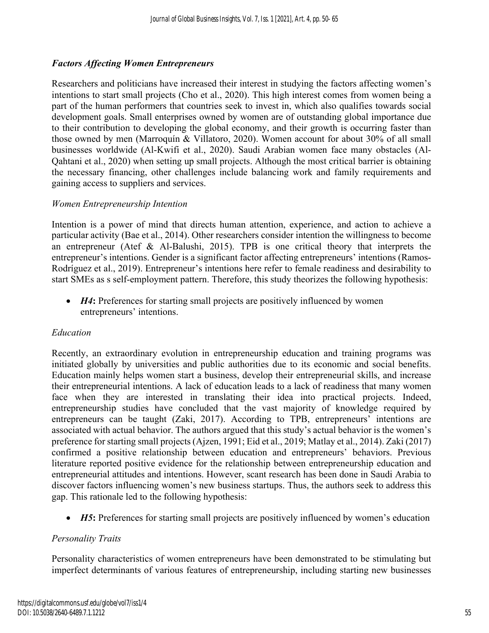# *Factors Affecting Women Entrepreneurs*

Researchers and politicians have increased their interest in studying the factors affecting women's intentions to start small projects (Cho et al., 2020). This high interest comes from women being a part of the human performers that countries seek to invest in, which also qualifies towards social development goals. Small enterprises owned by women are of outstanding global importance due to their contribution to developing the global economy, and their growth is occurring faster than those owned by men (Marroquín & Villatoro, 2020). Women account for about 30% of all small businesses worldwide (Al-Kwifi et al., 2020). Saudi Arabian women face many obstacles (Al-Qahtani et al., 2020) when setting up small projects. Although the most critical barrier is obtaining the necessary financing, other challenges include balancing work and family requirements and gaining access to suppliers and services.

# *Women Entrepreneurship Intention*

Intention is a power of mind that directs human attention, experience, and action to achieve a particular activity (Bae et al., 2014). Other researchers consider intention the willingness to become an entrepreneur (Atef & Al-Balushi, 2015). TPB is one critical theory that interprets the entrepreneur's intentions. Gender is a significant factor affecting entrepreneurs' intentions (Ramos-Rodríguez et al., 2019). Entrepreneur's intentions here refer to female readiness and desirability to start SMEs as s self-employment pattern. Therefore, this study theorizes the following hypothesis:

• *H4*: Preferences for starting small projects are positively influenced by women entrepreneurs' intentions.

#### *Education*

Recently, an extraordinary evolution in entrepreneurship education and training programs was initiated globally by universities and public authorities due to its economic and social benefits. Education mainly helps women start a business, develop their entrepreneurial skills, and increase their entrepreneurial intentions. A lack of education leads to a lack of readiness that many women face when they are interested in translating their idea into practical projects. Indeed, entrepreneurship studies have concluded that the vast majority of knowledge required by entrepreneurs can be taught (Zaki, 2017). According to TPB, entrepreneurs' intentions are associated with actual behavior. The authors argued that this study's actual behavior is the women's preference for starting small projects (Ajzen, 1991; Eid et al., 2019; Matlay et al., 2014). Zaki (2017) confirmed a positive relationship between education and entrepreneurs' behaviors. Previous literature reported positive evidence for the relationship between entrepreneurship education and entrepreneurial attitudes and intentions. However, scant research has been done in Saudi Arabia to discover factors influencing women's new business startups. Thus, the authors seek to address this gap. This rationale led to the following hypothesis:

• *H5*: Preferences for starting small projects are positively influenced by women's education

# *Personality Traits*

Personality characteristics of women entrepreneurs have been demonstrated to be stimulating but imperfect determinants of various features of entrepreneurship, including starting new businesses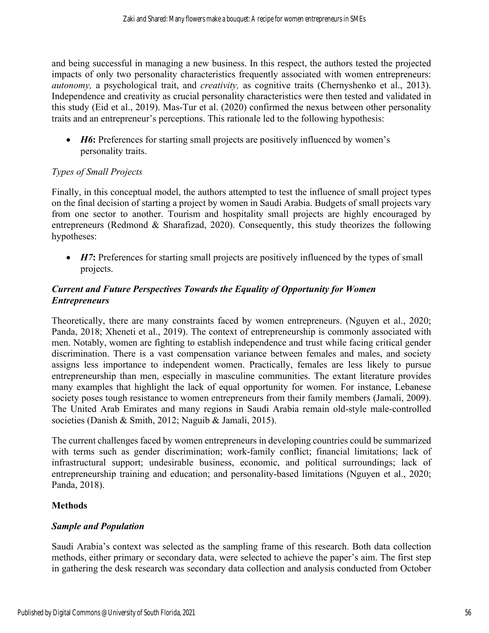and being successful in managing a new business. In this respect, the authors tested the projected impacts of only two personality characteristics frequently associated with women entrepreneurs: *autonomy,* a psychological trait, and *creativity,* as cognitive traits (Chernyshenko et al., 2013). Independence and creativity as crucial personality characteristics were then tested and validated in this study (Eid et al., 2019). Mas-Tur et al. (2020) confirmed the nexus between other personality traits and an entrepreneur's perceptions. This rationale led to the following hypothesis:

• *H6*: Preferences for starting small projects are positively influenced by women's personality traits.

# *Types of Small Projects*

Finally, in this conceptual model, the authors attempted to test the influence of small project types on the final decision of starting a project by women in Saudi Arabia. Budgets of small projects vary from one sector to another. Tourism and hospitality small projects are highly encouraged by entrepreneurs (Redmond & Sharafizad, 2020). Consequently, this study theorizes the following hypotheses:

• *H7*: Preferences for starting small projects are positively influenced by the types of small projects.

# *Current and Future Perspectives Towards the Equality of Opportunity for Women Entrepreneurs*

Theoretically, there are many constraints faced by women entrepreneurs. (Nguyen et al., 2020; Panda, 2018; Xheneti et al., 2019). The context of entrepreneurship is commonly associated with men. Notably, women are fighting to establish independence and trust while facing critical gender discrimination. There is a vast compensation variance between females and males, and society assigns less importance to independent women. Practically, females are less likely to pursue entrepreneurship than men, especially in masculine communities. The extant literature provides many examples that highlight the lack of equal opportunity for women. For instance, Lebanese society poses tough resistance to women entrepreneurs from their family members (Jamali, 2009). The United Arab Emirates and many regions in Saudi Arabia remain old-style male-controlled societies (Danish & Smith, 2012; Naguib & Jamali, 2015).

The current challenges faced by women entrepreneurs in developing countries could be summarized with terms such as gender discrimination; work-family conflict; financial limitations; lack of infrastructural support; undesirable business, economic, and political surroundings; lack of entrepreneurship training and education; and personality-based limitations (Nguyen et al., 2020; Panda, 2018).

# **Methods**

# *Sample and Population*

Saudi Arabia's context was selected as the sampling frame of this research. Both data collection methods, either primary or secondary data, were selected to achieve the paper's aim. The first step in gathering the desk research was secondary data collection and analysis conducted from October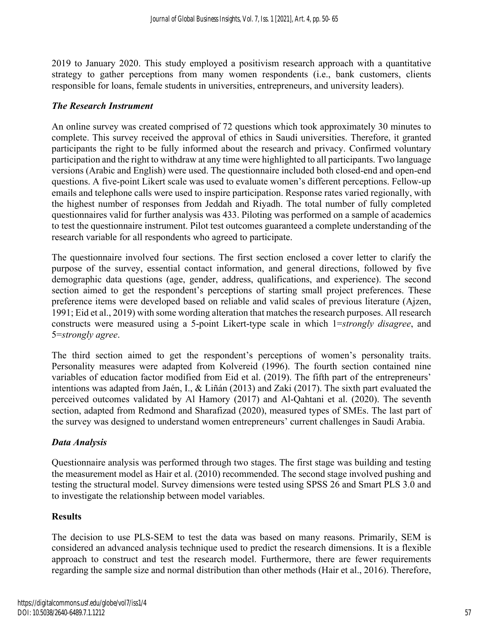2019 to January 2020. This study employed a positivism research approach with a quantitative strategy to gather perceptions from many women respondents (i.e., bank customers, clients responsible for loans, female students in universities, entrepreneurs, and university leaders).

#### *The Research Instrument*

An online survey was created comprised of 72 questions which took approximately 30 minutes to complete. This survey received the approval of ethics in Saudi universities. Therefore, it granted participants the right to be fully informed about the research and privacy. Confirmed voluntary participation and the right to withdraw at any time were highlighted to all participants. Two language versions (Arabic and English) were used. The questionnaire included both closed-end and open-end questions. A five-point Likert scale was used to evaluate women's different perceptions. Fellow-up emails and telephone calls were used to inspire participation. Response rates varied regionally, with the highest number of responses from Jeddah and Riyadh. The total number of fully completed questionnaires valid for further analysis was 433. Piloting was performed on a sample of academics to test the questionnaire instrument. Pilot test outcomes guaranteed a complete understanding of the research variable for all respondents who agreed to participate.

The questionnaire involved four sections. The first section enclosed a cover letter to clarify the purpose of the survey, essential contact information, and general directions, followed by five demographic data questions (age, gender, address, qualifications, and experience). The second section aimed to get the respondent's perceptions of starting small project preferences. These preference items were developed based on reliable and valid scales of previous literature (Ajzen, 1991; Eid et al., 2019) with some wording alteration that matches the research purposes. All research constructs were measured using a 5-point Likert-type scale in which 1=*strongly disagree*, and 5=*strongly agree*.

The third section aimed to get the respondent's perceptions of women's personality traits. Personality measures were adapted from Kolvereid (1996). The fourth section contained nine variables of education factor modified from Eid et al. (2019). The fifth part of the entrepreneurs' intentions was adapted from Jaén, I., & Liñán (2013) and Zaki (2017). The sixth part evaluated the perceived outcomes validated by Al Hamory (2017) and Al-Qahtani et al. (2020). The seventh section, adapted from Redmond and Sharafizad (2020), measured types of SMEs. The last part of the survey was designed to understand women entrepreneurs' current challenges in Saudi Arabia.

# *Data Analysis*

Questionnaire analysis was performed through two stages. The first stage was building and testing the measurement model as Hair et al. (2010) recommended. The second stage involved pushing and testing the structural model. Survey dimensions were tested using SPSS 26 and Smart PLS 3.0 and to investigate the relationship between model variables.

# **Results**

The decision to use PLS-SEM to test the data was based on many reasons. Primarily, SEM is considered an advanced analysis technique used to predict the research dimensions. It is a flexible approach to construct and test the research model. Furthermore, there are fewer requirements regarding the sample size and normal distribution than other methods (Hair et al., 2016). Therefore,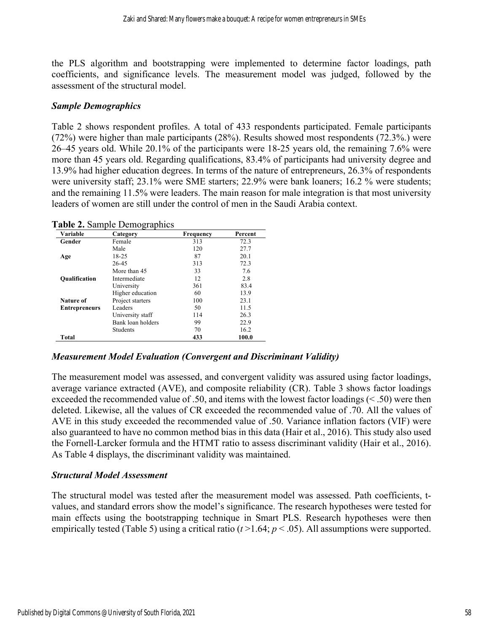the PLS algorithm and bootstrapping were implemented to determine factor loadings, path coefficients, and significance levels. The measurement model was judged, followed by the assessment of the structural model.

# *Sample Demographics*

Table 2 shows respondent profiles. A total of 433 respondents participated. Female participants (72%) were higher than male participants (28%). Results showed most respondents (72.3%.) were 26–45 years old. While 20.1% of the participants were 18-25 years old, the remaining 7.6% were more than 45 years old. Regarding qualifications, 83.4% of participants had university degree and 13.9% had higher education degrees. In terms of the nature of entrepreneurs, 26.3% of respondents were university staff; 23.1% were SME starters; 22.9% were bank loaners; 16.2 % were students; and the remaining 11.5% were leaders. The main reason for male integration is that most university leaders of women are still under the control of men in the Saudi Arabia context.

| Variable             | Category          | <b>Frequency</b> | Percent |
|----------------------|-------------------|------------------|---------|
| Gender               | Female            | 313              | 72.3    |
|                      | Male              | 120              | 27.7    |
| Age                  | 18-25             | 87               | 20.1    |
|                      | 26-45             | 313              | 72.3    |
|                      | More than 45      | 33               | 7.6     |
| <b>Qualification</b> | Intermediate      | 12               | 2.8     |
|                      | University        | 361              | 83.4    |
|                      | Higher education  | 60               | 13.9    |
| Nature of            | Project starters  | 100              | 23.1    |
| <b>Entrepreneurs</b> | Leaders           | 50               | 11.5    |
|                      | University staff  | 114              | 26.3    |
|                      | Bank loan holders | 99               | 22.9    |
|                      | <b>Students</b>   | 70               | 16.2    |
| Total                |                   | 433              | 100.0   |

**Table 2.** Sample Demographics

#### *Measurement Model Evaluation (Convergent and Discriminant Validity)*

The measurement model was assessed, and convergent validity was assured using factor loadings, average variance extracted (AVE), and composite reliability (CR). Table 3 shows factor loadings exceeded the recommended value of .50, and items with the lowest factor loadings (< .50) were then deleted. Likewise, all the values of CR exceeded the recommended value of .70. All the values of AVE in this study exceeded the recommended value of .50. Variance inflation factors (VIF) were also guaranteed to have no common method bias in this data (Hair et al., 2016). This study also used the Fornell-Larcker formula and the HTMT ratio to assess discriminant validity (Hair et al., 2016). As Table 4 displays, the discriminant validity was maintained.

# *Structural Model Assessment*

The structural model was tested after the measurement model was assessed. Path coefficients, tvalues, and standard errors show the model's significance. The research hypotheses were tested for main effects using the bootstrapping technique in Smart PLS. Research hypotheses were then empirically tested (Table 5) using a critical ratio  $(t > 1.64; p < .05)$ . All assumptions were supported.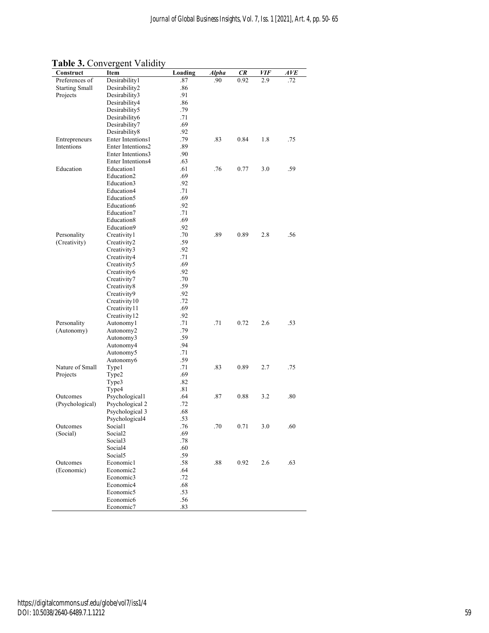| Construct             | Item                              | Loading    | Alpha | CR   | VIF | AVE |
|-----------------------|-----------------------------------|------------|-------|------|-----|-----|
| Preferences of        | Desirability1                     | .87        | .90   | 0.92 | 2.9 | .72 |
| <b>Starting Small</b> | Desirability2                     | .86        |       |      |     |     |
| Projects              | Desirability3                     | .91        |       |      |     |     |
|                       | Desirability4                     | .86        |       |      |     |     |
|                       | Desirability5                     | .79        |       |      |     |     |
|                       | Desirability6                     | .71        |       |      |     |     |
|                       | Desirability7                     | .69        |       |      |     |     |
|                       | Desirability8                     | .92        |       |      |     |     |
| Entrepreneurs         | Enter Intentions1                 | .79        | .83   | 0.84 | 1.8 | .75 |
| Intentions            | Enter Intentions2                 | .89        |       |      |     |     |
|                       | Enter Intentions3                 | .90        |       |      |     |     |
|                       | Enter Intentions4                 | .63        |       |      |     |     |
| Education             | Education1                        | .61        | .76   | 0.77 | 3.0 | .59 |
|                       | Education2                        | .69        |       |      |     |     |
|                       | Education3                        | .92        |       |      |     |     |
|                       | Education4                        | .71        |       |      |     |     |
|                       | Education5                        | .69        |       |      |     |     |
|                       | Education6                        | .92        |       |      |     |     |
|                       | Education7                        | .71        |       |      |     |     |
|                       | Education8                        | .69        |       |      |     |     |
|                       | Education9                        | .92        |       |      |     |     |
| Personality           | Creativity1                       | .70        | .89   | 0.89 | 2.8 | .56 |
| (Creativity)          | Creativity2                       | .59        |       |      |     |     |
|                       | Creativity3                       | .92        |       |      |     |     |
|                       | Creativity4                       | .71        |       |      |     |     |
|                       | Creativity5                       | .69        |       |      |     |     |
|                       | Creativity6                       | .92        |       |      |     |     |
|                       | Creativity7                       | .70        |       |      |     |     |
|                       | Creativity8                       | .59        |       |      |     |     |
|                       | Creativity9                       | .92        |       |      |     |     |
|                       | Creativity10                      | .72        |       |      |     |     |
|                       | Creativity11                      | .69        |       |      |     |     |
|                       | Creativity12                      | .92        |       |      |     |     |
| Personality           | Autonomy1                         | .71        | .71   | 0.72 | 2.6 | .53 |
| (Autonomy)            | Autonomy2                         | .79        |       |      |     |     |
|                       | Autonomy3                         | .59        |       |      |     |     |
|                       | Autonomy4                         | .94        |       |      |     |     |
|                       | Autonomy5                         | .71        |       |      |     |     |
|                       | Autonomy6                         | .59        |       |      |     |     |
| Nature of Small       | Type1                             | .71        | .83   | 0.89 | 2.7 | .75 |
| Projects              | Type2                             | .69        |       |      |     |     |
|                       | Type3                             | .82        |       |      |     |     |
|                       | Type4                             | .81        |       |      |     |     |
| Outcomes              | Psychological1                    | .64        | .87   | 0.88 | 3.2 | .80 |
| (Psychological)       | Psychological 2                   | .72<br>.68 |       |      |     |     |
|                       | Psychological 3<br>Psychological4 | .53        |       |      |     |     |
|                       |                                   |            |       |      |     | .60 |
| Outcomes<br>(Social)  | Social1<br>Social <sub>2</sub>    | .76<br>.69 | .70   | 0.71 | 3.0 |     |
|                       | Social <sub>3</sub>               | .78        |       |      |     |     |
|                       | Social4                           | .60        |       |      |     |     |
|                       | Social <sub>5</sub>               | .59        |       |      |     |     |
| Outcomes              | Economic1                         | .58        | .88   | 0.92 | 2.6 | .63 |
| (Economic)            | Economic2                         | .64        |       |      |     |     |
|                       | Economic3                         | .72        |       |      |     |     |
|                       | Economic4                         | .68        |       |      |     |     |
|                       | Economic <sub>5</sub>             | .53        |       |      |     |     |
|                       | Economic6                         | .56        |       |      |     |     |
|                       | Economic7                         | .83        |       |      |     |     |
|                       |                                   |            |       |      |     |     |

# **Table 3.** Convergent Validity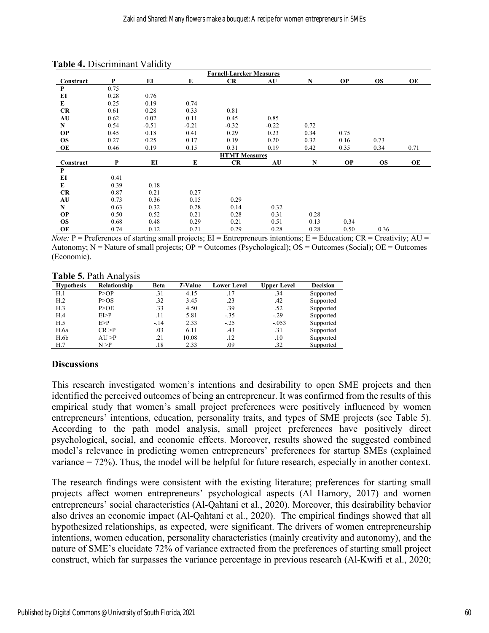|           |      |         |         | <b>Fornell-Larcker Measures</b> |         |           |           |           |      |
|-----------|------|---------|---------|---------------------------------|---------|-----------|-----------|-----------|------|
| Construct | P    | EI      | E       | CR                              | AU      | N         | <b>OP</b> | <b>OS</b> | OE   |
| P         | 0.75 |         |         |                                 |         |           |           |           |      |
| EI        | 0.28 | 0.76    |         |                                 |         |           |           |           |      |
| E         | 0.25 | 0.19    | 0.74    |                                 |         |           |           |           |      |
| <b>CR</b> | 0.61 | 0.28    | 0.33    | 0.81                            |         |           |           |           |      |
| AU        | 0.62 | 0.02    | 0.11    | 0.45                            | 0.85    |           |           |           |      |
| N         | 0.54 | $-0.51$ | $-0.21$ | $-0.32$                         | $-0.22$ | 0.72      |           |           |      |
| <b>OP</b> | 0.45 | 0.18    | 0.41    | 0.29                            | 0.23    | 0.34      | 0.75      |           |      |
| <b>OS</b> | 0.27 | 0.25    | 0.17    | 0.19                            | 0.20    | 0.32      | 0.16      | 0.73      |      |
| OE        | 0.46 | 0.19    | 0.15    | 0.31                            | 0.19    | 0.42      | 0.35      | 0.34      | 0.71 |
|           |      |         |         | <b>HTMT</b> Measures            |         |           |           |           |      |
| Construct | P    | EI      | E       | CR                              | AU      | ${\bf N}$ | <b>OP</b> | <b>OS</b> | OE   |
| P         |      |         |         |                                 |         |           |           |           |      |
| EI        | 0.41 |         |         |                                 |         |           |           |           |      |
| E         | 0.39 | 0.18    |         |                                 |         |           |           |           |      |
| <b>CR</b> | 0.87 | 0.21    | 0.27    |                                 |         |           |           |           |      |
| AU        | 0.73 | 0.36    | 0.15    | 0.29                            |         |           |           |           |      |
| ${\bf N}$ | 0.63 | 0.32    | 0.28    | 0.14                            | 0.32    |           |           |           |      |
| <b>OP</b> | 0.50 | 0.52    | 0.21    | 0.28                            | 0.31    | 0.28      |           |           |      |
| <b>OS</b> | 0.68 | 0.48    | 0.29    | 0.21                            | 0.51    | 0.13      | 0.34      |           |      |
| OE        | 0.74 | 0.12    | 0.21    | 0.29                            | 0.28    | 0.28      | 0.50      | 0.36      |      |

| Table 4. Discriminant Validity |  |  |  |  |
|--------------------------------|--|--|--|--|
|--------------------------------|--|--|--|--|

*Note:*  $P =$  Preferences of starting small projects;  $EI =$  Entrepreneurs intentions;  $E =$  Education;  $CR =$  Creativity;  $AU =$ Autonomy;  $N =$  Nature of small projects;  $OP =$  Outcomes (Psychological);  $OS =$  Outcomes (Social);  $OE =$  Outcomes (Economic).

**Table 5.** Path Analysis

| <b>Hypothesis</b> | Relationship | <b>Beta</b> | T-Value | <b>Lower Level</b> | <b>Upper Level</b> | <b>Decision</b> |
|-------------------|--------------|-------------|---------|--------------------|--------------------|-----------------|
| H.1               | P > OP       | .31         | 4.15    | .17                | .34                | Supported       |
| H <sub>.2</sub>   | P > OS       | .32         | 3.45    | .23                | .42                | Supported       |
| H.3               | P > O E      | .33         | 4.50    | .39                | .52                | Supported       |
| H.4               | E1 > P       | .11         | 5.81    | $-.35$             | $-.29$             | Supported       |
| H.5               | E > P        | $-.14$      | 2.33    | $-.25$             | $-.053$            | Supported       |
| H.6a              | CR > P       | .03         | 6.11    | .43                | .31                | Supported       |
| H.6b              | $AI$ >P      | .21         | 10.08   | $.12\,$            | .10                | Supported       |
| H.7               | N > P        | .18         | 2.33    | .09                | .32                | Supported       |

#### **Discussions**

This research investigated women's intentions and desirability to open SME projects and then identified the perceived outcomes of being an entrepreneur. It was confirmed from the results of this empirical study that women's small project preferences were positively influenced by women entrepreneurs' intentions, education, personality traits, and types of SME projects (see Table 5). According to the path model analysis, small project preferences have positively direct psychological, social, and economic effects. Moreover, results showed the suggested combined model's relevance in predicting women entrepreneurs' preferences for startup SMEs (explained variance = 72%). Thus, the model will be helpful for future research, especially in another context.

The research findings were consistent with the existing literature; preferences for starting small projects affect women entrepreneurs' psychological aspects (Al Hamory, 2017) and women entrepreneurs' social characteristics (Al-Qahtani et al., 2020). Moreover, this desirability behavior also drives an economic impact (Al-Qahtani et al., 2020). The empirical findings showed that all hypothesized relationships, as expected, were significant. The drivers of women entrepreneurship intentions, women education, personality characteristics (mainly creativity and autonomy), and the nature of SME's elucidate 72% of variance extracted from the preferences of starting small project construct, which far surpasses the variance percentage in previous research (Al-Kwifi et al., 2020;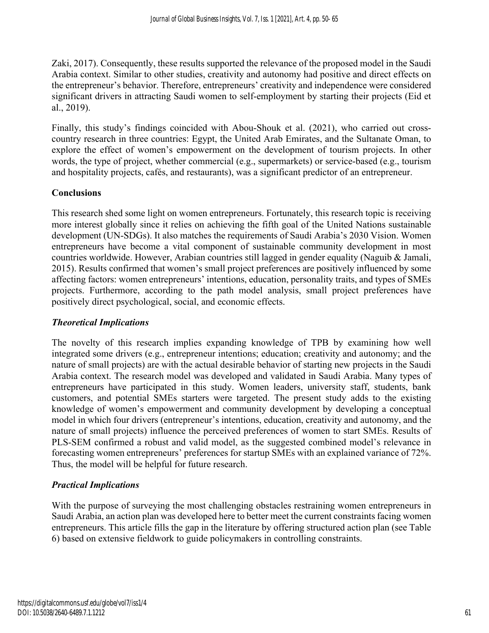Zaki, 2017). Consequently, these results supported the relevance of the proposed model in the Saudi Arabia context. Similar to other studies, creativity and autonomy had positive and direct effects on the entrepreneur's behavior. Therefore, entrepreneurs' creativity and independence were considered significant drivers in attracting Saudi women to self-employment by starting their projects (Eid et al., 2019).

Finally, this study's findings coincided with Abou-Shouk et al. (2021), who carried out crosscountry research in three countries: Egypt, the United Arab Emirates, and the Sultanate Oman, to explore the effect of women's empowerment on the development of tourism projects. In other words, the type of project, whether commercial (e.g., supermarkets) or service-based (e.g., tourism and hospitality projects, cafés, and restaurants), was a significant predictor of an entrepreneur.

# **Conclusions**

This research shed some light on women entrepreneurs. Fortunately, this research topic is receiving more interest globally since it relies on achieving the fifth goal of the United Nations sustainable development (UN-SDGs). It also matches the requirements of Saudi Arabia's 2030 Vision. Women entrepreneurs have become a vital component of sustainable community development in most countries worldwide. However, Arabian countries still lagged in gender equality (Naguib & Jamali, 2015). Results confirmed that women's small project preferences are positively influenced by some affecting factors: women entrepreneurs' intentions, education, personality traits, and types of SMEs projects. Furthermore, according to the path model analysis, small project preferences have positively direct psychological, social, and economic effects.

# *Theoretical Implications*

The novelty of this research implies expanding knowledge of TPB by examining how well integrated some drivers (e.g., entrepreneur intentions; education; creativity and autonomy; and the nature of small projects) are with the actual desirable behavior of starting new projects in the Saudi Arabia context. The research model was developed and validated in Saudi Arabia. Many types of entrepreneurs have participated in this study. Women leaders, university staff, students, bank customers, and potential SMEs starters were targeted. The present study adds to the existing knowledge of women's empowerment and community development by developing a conceptual model in which four drivers (entrepreneur's intentions, education, creativity and autonomy, and the nature of small projects) influence the perceived preferences of women to start SMEs. Results of PLS-SEM confirmed a robust and valid model, as the suggested combined model's relevance in forecasting women entrepreneurs' preferences for startup SMEs with an explained variance of 72%. Thus, the model will be helpful for future research.

# *Practical Implications*

With the purpose of surveying the most challenging obstacles restraining women entrepreneurs in Saudi Arabia, an action plan was developed here to better meet the current constraints facing women entrepreneurs. This article fills the gap in the literature by offering structured action plan (see Table 6) based on extensive fieldwork to guide policymakers in controlling constraints.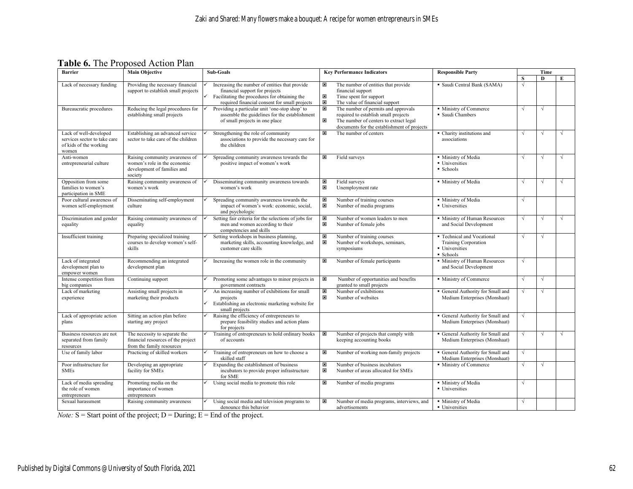**Table 6.** The Proposed Action Plan

| <b>Main Objective</b><br><b>Barrier</b>                                                   |                                                                                                          | Sub-Goals                                                                                                                                                                          | <b>Key Performance Indicators</b>                                                                                                                                                           | <b>Responsible Party</b>                                                                 | Time       |            |   |
|-------------------------------------------------------------------------------------------|----------------------------------------------------------------------------------------------------------|------------------------------------------------------------------------------------------------------------------------------------------------------------------------------------|---------------------------------------------------------------------------------------------------------------------------------------------------------------------------------------------|------------------------------------------------------------------------------------------|------------|------------|---|
|                                                                                           |                                                                                                          |                                                                                                                                                                                    |                                                                                                                                                                                             |                                                                                          | S          | D          | E |
| Lack of necessary funding                                                                 | Providing the necessary financial<br>support to establish small projects                                 | Increasing the number of entities that provide<br>financial support for projects<br>Facilitating the procedures for obtaining the<br>required financial consent for small projects | The number of entities that provide<br>×<br>financial support<br>$\boxtimes$<br>Time spent for support<br>図<br>The value of financial support                                               | · Saudi Central Bank (SAMA)                                                              | V          |            |   |
| Bureaucratic procedures                                                                   | Reducing the legal procedures for<br>establishing small projects                                         | Providing a particular unit 'one-stop shop' to<br>assemble the guidelines for the establishment<br>of small projects in one place                                                  | The number of permits and approvals<br>×<br>required to establish small projects<br>$\pmb{\times}$<br>The number of centers to extract legal<br>documents for the establishment of projects | · Ministry of Commerce<br>· Saudi Chambers                                               | $\sqrt{ }$ | $\sqrt{ }$ |   |
| Lack of well-developed<br>services sector to take care<br>of kids of the working<br>women | Establishing an advanced service<br>sector to take care of the children                                  | Strengthening the role of community<br>associations to provide the necessary care for<br>the children                                                                              | 図<br>The number of centers                                                                                                                                                                  | • Charity institutions and<br>associations                                               | $\sqrt{ }$ | $\sqrt{ }$ |   |
| Anti-women<br>entrepreneurial culture                                                     | Raising community awareness of<br>women's role in the economic<br>development of families and<br>society | Spreading community awareness towards the<br>positive impact of women's work                                                                                                       | Field surveys<br>$\pmb{\times}$                                                                                                                                                             | · Ministry of Media<br>• Universities<br>■ Schools                                       | $\sqrt{ }$ | $\sqrt{ }$ |   |
| Opposition from some<br>families to women's<br>participation in SME                       | Raising community awareness of<br>women's work                                                           | Disseminating community awareness towards<br>women's work                                                                                                                          | ×<br>Field surveys<br>$\pmb{\times}$<br>Unemployment rate                                                                                                                                   | · Ministry of Media                                                                      |            | $\sqrt{ }$ |   |
| Poor cultural awareness of<br>women self-employment                                       | Disseminating self-employment<br>culture                                                                 | Spreading community awareness towards the<br>impact of women's work: economic, social,<br>and psychologic                                                                          | ×<br>Number of training courses<br>図<br>Number of media programs                                                                                                                            | · Ministry of Media<br>• Universities                                                    | $\sqrt{ }$ |            |   |
| Discrimination and gender<br>equality                                                     | Raising community awareness of<br>equality                                                               | Setting fair criteria for the selections of jobs for<br>men and women according to their<br>competencies and skills                                                                | M<br>Number of women leaders to men<br>×<br>Number of female jobs                                                                                                                           | • Ministry of Human Resources<br>and Social Development                                  | $\sqrt{ }$ | $\sqrt{ }$ |   |
| Insufficient training                                                                     | Preparing specialized training<br>courses to develop women's self-<br>skills                             | Setting workshops in business planning,<br>marketing skills, accounting knowledge, and<br>customer care skills                                                                     | Number of training courses<br>×<br>×<br>Number of workshops, seminars,<br>symposiums                                                                                                        | • Technical and Vocational<br><b>Training Corporation</b><br>• Universities<br>• Schools | $\sqrt{ }$ | $\sqrt{ }$ |   |
| Lack of integrated<br>development plan to<br>empower women                                | Recommending an integrated<br>development plan                                                           | Increasing the women role in the community                                                                                                                                         | Number of female participants<br>×                                                                                                                                                          | • Ministry of Human Resources<br>and Social Development                                  | $\sqrt{ }$ |            |   |
| Intense competition from<br>big companies                                                 | Continuing support                                                                                       | Promoting some advantages to minor projects in<br>government contracts                                                                                                             | Number of opportunities and benefits<br>×<br>granted to small projects                                                                                                                      | • Ministry of Commerce                                                                   | $\sqrt{ }$ | $\sqrt{ }$ |   |
| Lack of marketing<br>experience                                                           | Assisting small projects in<br>marketing their products                                                  | An increasing number of exhibitions for small<br>projects<br>Establishing an electronic marketing website for<br>small projects                                                    | Number of exhibitions<br>×<br>$\pmb{\times}$<br>Number of websites                                                                                                                          | General Authority for Small and<br>Medium Enterprises (Monshaat)                         | $\sqrt{ }$ | $\sqrt{ }$ |   |
| Lack of appropriate action<br>plans                                                       | Sitting an action plan before<br>starting any project                                                    | Raising the efficiency of entrepreneurs to<br>prepare feasibility studies and action plans<br>for projects                                                                         |                                                                                                                                                                                             | General Authority for Small and<br>Medium Enterprises (Monshaat)                         | $\sqrt{ }$ |            |   |
| Business resources are not<br>separated from family<br>resources                          | The necessity to separate the<br>financial resources of the project<br>from the family resources         | Training of entrepreneurs to hold ordinary books<br>of accounts                                                                                                                    | ×<br>Number of projects that comply with<br>keeping accounting books                                                                                                                        | General Authority for Small and<br>Medium Enterprises (Monshaat)                         | $\sqrt{ }$ | $\sqrt{ }$ |   |
| Use of family labor                                                                       | Practicing of skilled workers                                                                            | Training of entrepreneurs on how to choose a<br>skilled staff                                                                                                                      | ×<br>Number of working non-family projects                                                                                                                                                  | General Authority for Small and<br>Medium Enterprises (Monshaat)                         | $\sqrt{ }$ |            |   |
| Poor infrastructure for<br><b>SMEs</b>                                                    | Developing an appropriate<br>facility for SMEs                                                           | Expanding the establishment of business<br>incubators to provide proper infrastructure<br>for SME                                                                                  | ⊠<br>Number of business incubators<br>図<br>Number of areas allocated for SMEs                                                                                                               | · Ministry of Commerce                                                                   | $\sqrt{ }$ | $\sqrt{ }$ |   |
| Lack of media spreading<br>the role of women<br>entrepreneurs                             | Promoting media on the<br>importance of women<br>entrepreneurs                                           | Using social media to promote this role                                                                                                                                            | ×<br>Number of media programs                                                                                                                                                               | · Ministry of Media<br>• Universities                                                    | $\sqrt{ }$ |            |   |
| Sexual harassment                                                                         | Raising community awareness                                                                              | Using social media and television programs to<br>denounce this behavior                                                                                                            | $\pmb{\times}$<br>Number of media programs, interviews, and<br>advertisements                                                                                                               | • Ministry of Media<br>• Universities                                                    | $\sqrt{ }$ |            |   |

*Note:*  $S =$  Start point of the project;  $D =$  During;  $E =$  End of the project.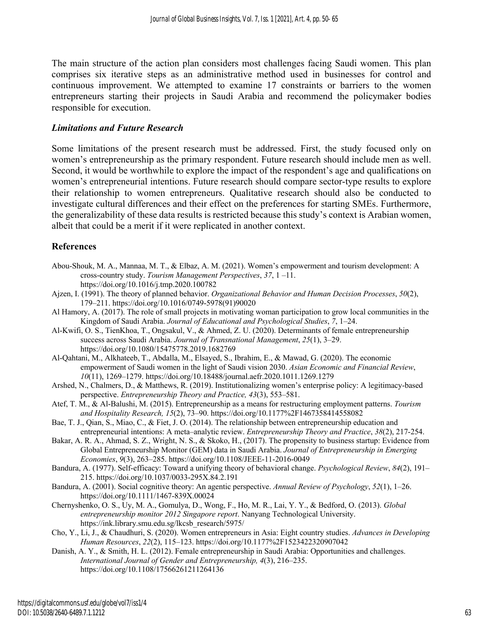The main structure of the action plan considers most challenges facing Saudi women. This plan comprises six iterative steps as an administrative method used in businesses for control and continuous improvement. We attempted to examine 17 constraints or barriers to the women entrepreneurs starting their projects in Saudi Arabia and recommend the policymaker bodies responsible for execution.

#### *Limitations and Future Research*

Some limitations of the present research must be addressed. First, the study focused only on women's entrepreneurship as the primary respondent. Future research should include men as well. Second, it would be worthwhile to explore the impact of the respondent's age and qualifications on women's entrepreneurial intentions. Future research should compare sector-type results to explore their relationship to women entrepreneurs. Qualitative research should also be conducted to investigate cultural differences and their effect on the preferences for starting SMEs. Furthermore, the generalizability of these data results is restricted because this study's context is Arabian women, albeit that could be a merit if it were replicated in another context.

# **References**

- Abou-Shouk, M. A., Mannaa, M. T., & Elbaz, A. M. (2021). Women's empowerment and tourism development: A cross-country study. *Tourism Management Perspectives*, *37*, 1 –11. https://doi.org/10.1016/j.tmp.2020.100782
- Ajzen, I. (1991). The theory of planned behavior. *Organizational Behavior and Human Decision Processes*, *50*(2), 179–211. https://doi.org/10.1016/0749-5978(91)90020
- Al Hamory, A. (2017). The role of small projects in motivating woman participation to grow local communities in the Kingdom of Saudi Arabia. *Journal of Educational and Psychological Studies*, *7*, 1–24.
- Al-Kwifi, O. S., TienKhoa, T., Ongsakul, V., & Ahmed, Z. U. (2020). Determinants of female entrepreneurship success across Saudi Arabia. *Journal of Transnational Management*, *25*(1), 3–29. https://doi.org/10.1080/15475778.2019.1682769
- Al-Qahtani, M., Alkhateeb, T., Abdalla, M., Elsayed, S., Ibrahim, E., & Mawad, G. (2020). The economic empowerment of Saudi women in the light of Saudi vision 2030. *Asian Economic and Financial Review*, *10*(11), 1269–1279. https://doi.org/10.18488/journal.aefr.2020.1011.1269.1279
- Arshed, N., Chalmers, D., & Matthews, R. (2019). Institutionalizing women's enterprise policy: A legitimacy-based perspective. *Entrepreneurship Theory and Practice, 43*(3), 553–581.
- Atef, T. M., & Al-Balushi, M. (2015). Entrepreneurship as a means for restructuring employment patterns. *Tourism and Hospitality Research, 15*(2), 73–90. https://doi.org/10.1177%2F1467358414558082
- Bae, T. J., Qian, S., Miao, C., & Fiet, J. O. (2014). The relationship between entrepreneurship education and entrepreneurial intentions: A meta–analytic review. *Entrepreneurship Theory and Practice*, *38*(2), 217-254.
- Bakar, A. R. A., Ahmad, S. Z., Wright, N. S., & Skoko, H., (2017). The propensity to business startup: Evidence from Global Entrepreneurship Monitor (GEM) data in Saudi Arabia. *Journal of Entrepreneurship in Emerging Economies*, *9*(3), 263–285. https://doi.org/10.1108/JEEE-11-2016-0049
- Bandura, A. (1977). Self-efficacy: Toward a unifying theory of behavioral change. *Psychological Review*, *84*(2), 191– 215. https://doi.org/10.1037/0033-295X.84.2.191
- Bandura, A. (2001). Social cognitive theory: An agentic perspective. *Annual Review of Psychology*, *52*(1), 1–26. https://doi.org/10.1111/1467-839X.00024
- Chernyshenko, O. S., Uy, M. A., Gomulya, D., Wong, F., Ho, M. R., Lai, Y. Y., & Bedford, O. (2013). *Global entrepreneurship monitor 2012 Singapore report*. Nanyang Technological University. https://ink.library.smu.edu.sg/lkcsb\_research/5975/
- Cho, Y., Li, J., & Chaudhuri, S. (2020). Women entrepreneurs in Asia: Eight country studies. *Advances in Developing Human Resources*, *22*(2), 115–123. https://doi.org/10.1177%2F1523422320907042
- Danish, A. Y., & Smith, H. L. (2012). Female entrepreneurship in Saudi Arabia: Opportunities and challenges. *International Journal of Gender and Entrepreneurship, 4*(3), 216–235. https://doi.org/10.1108/17566261211264136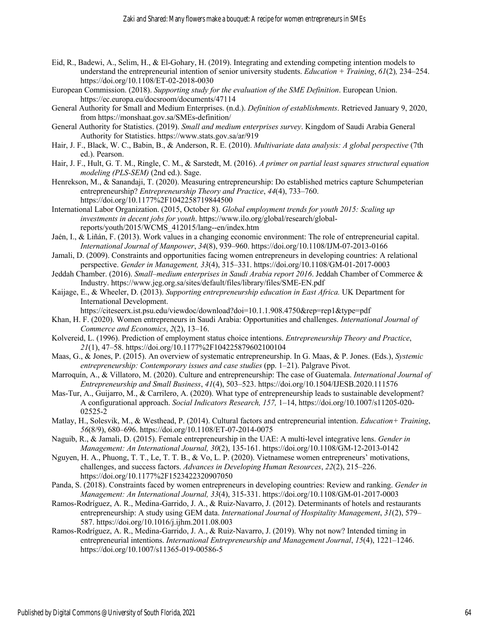- Eid, R., Badewi, A., Selim, H., & El-Gohary, H. (2019). Integrating and extending competing intention models to understand the entrepreneurial intention of senior university students. *Education + Training*, *61*(2)*,* 234–254. https://doi.org/10.1108/ET-02-2018-0030
- European Commission. (2018). *Supporting study for the evaluation of the SME Definition*. European Union. https://ec.europa.eu/docsroom/documents/47114
- General Authority for Small and Medium Enterprises. (n.d.). *Definition of establishments*. Retrieved January 9, 2020, from https://monshaat.gov.sa/SMEs-definition/
- General Authority for Statistics. (2019). *Small and medium enterprises survey*. Kingdom of Saudi Arabia General Authority for Statistics. https://www.stats.gov.sa/ar/919
- Hair, J. F., Black, W. C., Babin, B., & Anderson, R. E. (2010). *Multivariate data analysis: A global perspective* (7th ed.). Pearson.
- Hair, J. F., Hult, G. T. M., Ringle, C. M., & Sarstedt, M. (2016). *A primer on partial least squares structural equation modeling (PLS-SEM)* (2nd ed.). Sage.
- Henrekson, M., & Sanandaji, T. (2020). Measuring entrepreneurship: Do established metrics capture Schumpeterian entrepreneurship? *Entrepreneurship Theory and Practice*, *44*(4), 733–760. https://doi.org/10.1177%2F1042258719844500
- International Labor Organization. (2015, October 8). *Global employment trends for youth 2015: Scaling up investments in decent jobs for youth*. https://www.ilo.org/global/research/globalreports/youth/2015/WCMS\_412015/lang--en/index.htm
- Jaén, I., & Liñán, F. (2013). Work values in a changing economic environment: The role of entrepreneurial capital. *International Journal of Manpower*, *34*(8), 939–960. https://doi.org/10.1108/IJM-07-2013-0166
- Jamali, D. (2009). Constraints and opportunities facing women entrepreneurs in developing countries: A relational perspective. *Gender in Management, 33*(4), 315–331. https://doi.org/10.1108/GM-01-2017-0003
- Jeddah Chamber. (2016). *Small–medium enterprises in Saudi Arabia report 2016*. Jeddah Chamber of Commerce & Industry. https://www.jeg.org.sa/sites/default/files/library/files/SME-EN.pdf
- Kaijage, E., & Wheeler, D. (2013). *Supporting entrepreneurship education in East Africa.* UK Department for International Development.

https://citeseerx.ist.psu.edu/viewdoc/download?doi=10.1.1.908.4750&rep=rep1&type=pdf

- Khan, H. F. (2020). Women entrepreneurs in Saudi Arabia: Opportunities and challenges. *International Journal of Commerce and Economics*, *2*(2), 13–16.
- Kolvereid, L. (1996). Prediction of employment status choice intentions. *Entrepreneurship Theory and Practice*, *21*(1), 47–58. https://doi.org/10.1177%2F104225879602100104
- Maas, G., & Jones, P. (2015). An overview of systematic entrepreneurship. In G. Maas, & P. Jones. (Eds.), *Systemic entrepreneurship: Contemporary issues and case studies* (pp. 1–21). Palgrave Pivot.
- Marroquín, A., & Villatoro, M. (2020). Culture and entrepreneurship: The case of Guatemala. *International Journal of Entrepreneurship and Small Business*, *41*(4), 503–523. https://doi.org/10.1504/IJESB.2020.111576
- Mas-Tur, A., Guijarro, M., & Carrilero, A. (2020). What type of entrepreneurship leads to sustainable development? A configurational approach. *Social Indicators Research, 157,* 1–14, https://doi.org/10.1007/s11205-020- 02525-2
- Matlay, H., Solesvik, M., & Westhead, P. (2014). Cultural factors and entrepreneurial intention. *Education+ Training*, *56*(8/9), 680–696. https://doi.org/10.1108/ET-07-2014-0075
- Naguib, R., & Jamali, D. (2015). Female entrepreneurship in the UAE: A multi-level integrative lens. *Gender in Management: An International Journal, 30*(2), 135-161. https://doi.org/10.1108/GM-12-2013-0142
- Nguyen, H. A., Phuong, T. T., Le, T. T. B., & Vo, L. P. (2020). Vietnamese women entrepreneurs' motivations, challenges, and success factors. *Advances in Developing Human Resources*, *22*(2), 215–226. https://doi.org/10.1177%2F1523422320907050
- Panda, S. (2018). Constraints faced by women entrepreneurs in developing countries: Review and ranking. *Gender in Management: An International Journal, 33*(4), 315-331. https://doi.org/10.1108/GM-01-2017-0003
- Ramos-Rodríguez, A. R., Medina-Garrido, J. A., & Ruiz-Navarro, J. (2012). Determinants of hotels and restaurants entrepreneurship: A study using GEM data. *International Journal of Hospitality Management*, *31*(2), 579– 587. https://doi.org/10.1016/j.ijhm.2011.08.003
- Ramos-Rodríguez, A. R., Medina-Garrido, J. A., & Ruiz-Navarro, J. (2019). Why not now? Intended timing in entrepreneurial intentions. *International Entrepreneurship and Management Journal*, *15*(4), 1221–1246. https://doi.org/10.1007/s11365-019-00586-5